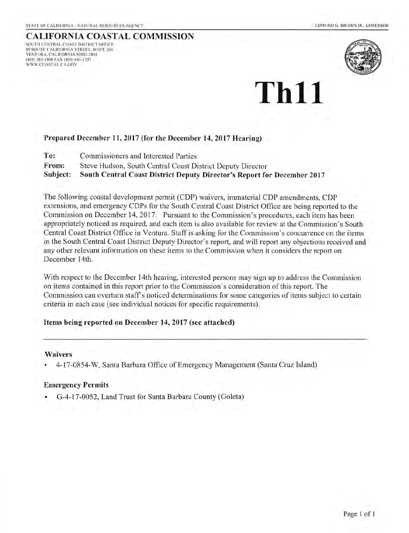#### CALIFORNIA COASTAL COMMISSION SOUTH CENTRAL COAST DISTRICT OFFICE 89 SOUTH CALIFORNIA STREET, SUITE 2OO VENTURA. CALIFORNIA 93OOI -280I (805) 585-1800 FAX (805) 641-1732 WWW,COASTAL,CA,GOV



# Th11

#### Prepared December 11, 2017 (for the December 14, 2017 Hearing)

Commissioners and Interested Parties To:

Steve Hudson, South Central Coast District Deputy Director From:

South Central Coast District Deputy Director's Report for December 2017 Subject:

The following coastal development permit (CDP) waivers, immaterial CDP amendments, CDP extensions, and emergency CDPs for the South Central Coast District Office are being reported to the Commission on December 14,2017. Pursuant to the Commission's procedures, each item has been appropriately noticed as required, and each item is also available for review at the Commission's South Central Coast District Office in Ventura. Staff is asking for the Commission's concurrence on the items in the South Central Coast District Deputy Director's report, and will report any objections received and any other relevant information on these items to the Commission when it considers the report on December l4th.

With respect to the December 14th hearing, interested persons may sign up to address the Commission on items contained in this repoft prior to the Commission's consideration of this reporl. The Commission can overturn staff s noticed determinations for some categories of items subject to certain criteria in each case (see individual notices for specific requirements).

#### Items being reported on December 14,2017 (see attached)

#### Waivers

. 4-17-0854-W, Santa Barbara Office of Emergency Management (Santa Cruz Island)

#### Emergency Permits

. G-4-17-0052, Land Trust for Santa Barbara County (Goleta)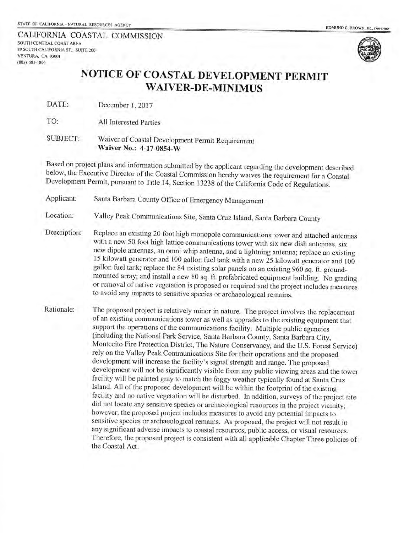CALIFORNIA COASTAL COMMISSION SOUTH CENTRAI COAST AREA 89 SOUTH CALIFORNIA ST., SUITE 2OO VENTURA, CA 93OOI (805) 585-t800



## NOTICE OF COASTAL DEVELOPMENT PERMIT WAIVER-DE-MINIMUS

DATE: December 1, 2017

TO: All Interested parties

SUBJECT: waiver of coastal Development permit Requirement Waiver No.: 4-17-0854\_W

Based on project plans and information submitted by the applicant regarding the development described below, the Executive Director of the Coastal Commission hereby waives the requirement for a Coastal Development Permit, pursuant to Title 14, Section 13238 of the Califomia Code of Regulations.

Applicant: Santa Barbara county office of Emergency Management

Location: Valley Peak Communications Site, Santa Cruz Island, Santa Barbara County

Description: Replace an existing 20 foot high monopole communications tower and attached antennas with a new 50 foot high lattice communications tower with six new dish antennas, six new dipole antennas, an omni whip antenna, and a lightning antema; replace an existing 15 kilowatt generator and 100 gallon fuel tank with a new 25 kilowatt generator and 100 gallon fuel tank; replace the 84 existing solar panels on an existing 960 sq. ft. groundmounted array; and install a new B0 sq. ft. prefabricated equipment building. No grading or removal of native vegetation is proposed or required and the project includes measures to avoid any impacts to sensitive species or archaeological remains.

Rationale: The proposed project is relatively minor in nature. The project involves the replacement of an existing communications tower as well as upgrades to the existing equipment that support the operations of the communications facility. Multiple public agencies (including the National Park Service, Santa Barbara County, Santa Barbara city, Montecito Fire Protection District, The Nature Conservancy, and the U.S. Forest Service) rely on the Valley Peak Communications Site for their operations and the proposed development will increase the facility's signal strength and range. The proposed development will not be significantly visible from any public viewing areas and the tower facility will be painted gray to match the foggy weather typically found at Santa Cruz Island. All of the proposed development will be within the footprint of the existing facility and no native vegetation will be disturbed. In addition, surveys of the project site did not locate any sensitive species or archaeological resources in the project vicinity; however, the proposed project includes measures to avoid any potential impacts to sensitive species or archaeological remains. As proposed, the project will not result in any significant adverse impacts to coastal resources, public access, or visual resources. Therefore, the proposed project is consistent with all applicable Chapter Three policies of the Coastal Act.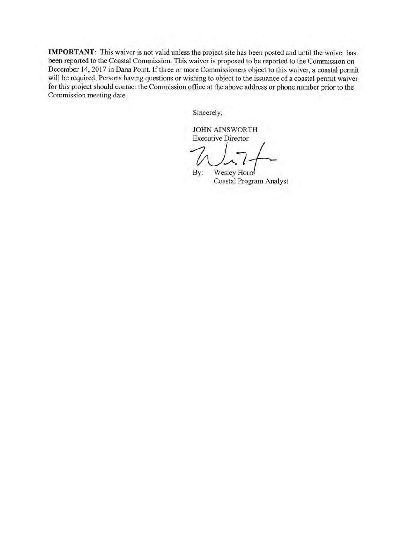IMPORTANT: This waiver is not valid unless the project site has been posted and until the waiver has been reported to the Coastal Commission. This waiver is proposed to be reported to the Commission on December 14, 2017 in Dana Point. If three or more Commissioners object to this waiver, a coastal permit will be required. Persons having questions or wishing to object to the issuance of a coastal permit waiver for this project should contact the Commission office at the above address or phone number prior to the Commission meeting date.

Sincerely,

JOHN AINSWORTH

Executive Director<br>
<br>
By: Wesley Hor

By: Wesley Hom Coastal Program Analyst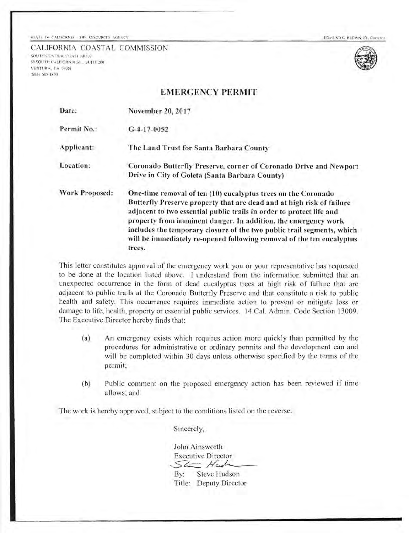CALIFORNIA COASTAL COMMISSION SOUTH CENTRAL COAST AREA 89 SOUTH CALIFORNIA ST., SUITH 200 **VENTURA**, CA 93001 (605) s8s-r300



### EMERCENCY PERMIT

| Date:          | November 20, 2017                                                                                                                                                                                                                                                                                                                                                                                                                             |
|----------------|-----------------------------------------------------------------------------------------------------------------------------------------------------------------------------------------------------------------------------------------------------------------------------------------------------------------------------------------------------------------------------------------------------------------------------------------------|
| Permit No.:    | $G-4-17-0052$                                                                                                                                                                                                                                                                                                                                                                                                                                 |
| Applicant:     | The Land Trust for Santa Barbara County                                                                                                                                                                                                                                                                                                                                                                                                       |
| Location:      | Coronado Butterfly Preserve, corner of Coronado Drive and Newport<br>Drive in City of Goleta (Santa Barbara County)                                                                                                                                                                                                                                                                                                                           |
| Work Proposed: | One-time removal of ten (10) eucalyptus trees on the Coronado<br>Butterfly Preserve property that are dead and at high risk of failure<br>adjacent to two essential public trails in order to protect life and<br>property from imminent danger. In addition, the emergency work<br>includes the temporary closure of the two public trail segments, which<br>will be immediately re-opened following removal of the ten eucalyptus<br>trees. |

This letter constitutcs approval of the emergency work you or your reprcsentative has requested to be done at the location listed above. I understand from the information submitted that an unexpected occurrence in the form of dead eucalyptus trees at high risk of failure that are adjacent to public trails at the Coronado Butterfly Preserve and that constitute a risk to public health and safety. This occurrence requires immediate action to prevent or mitigate loss or damage to life, hcalth, property or essential public services. l4 Cal. Admin. Code Section 13009. The Executive Director herebv finds that:

- (a) An emergency exists which requires action more quickly than permitted by the procedures for administrative or ordinary permits and the development can and will be completed within 30 days unless otherwise specified by the terms of the permit;
- (b) Public comment on the proposed emergency action has been reviewed if time allows; and

The work is hereby approved, subject to the conditions listed on the reverse.

Sincerely,

John Ainsworth **Executive Director** 

 $56 -$ Hunh By: Title: Deputy DirectorSteve Hudson